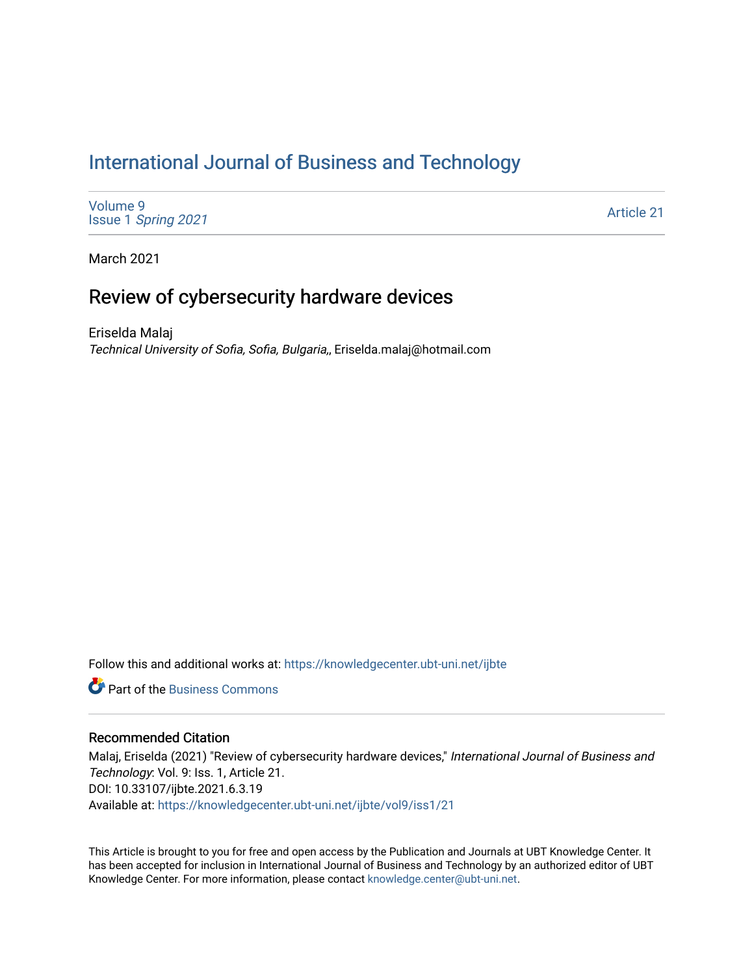# [International Journal of Business and Technology](https://knowledgecenter.ubt-uni.net/ijbte)

[Volume 9](https://knowledgecenter.ubt-uni.net/ijbte/vol9) Issue 1 [Spring 2021](https://knowledgecenter.ubt-uni.net/ijbte/vol9/iss1) 

[Article 21](https://knowledgecenter.ubt-uni.net/ijbte/vol9/iss1/21) 

March 2021

# Review of cybersecurity hardware devices

Eriselda Malaj Technical University of Sofia, Sofia, Bulgaria,, Eriselda.malaj@hotmail.com

Follow this and additional works at: [https://knowledgecenter.ubt-uni.net/ijbte](https://knowledgecenter.ubt-uni.net/ijbte?utm_source=knowledgecenter.ubt-uni.net%2Fijbte%2Fvol9%2Fiss1%2F21&utm_medium=PDF&utm_campaign=PDFCoverPages) 

**P** Part of the [Business Commons](https://network.bepress.com/hgg/discipline/622?utm_source=knowledgecenter.ubt-uni.net%2Fijbte%2Fvol9%2Fiss1%2F21&utm_medium=PDF&utm_campaign=PDFCoverPages)

## Recommended Citation

Malaj, Eriselda (2021) "Review of cybersecurity hardware devices," International Journal of Business and Technology: Vol. 9: Iss. 1, Article 21. DOI: 10.33107/ijbte.2021.6.3.19 Available at: [https://knowledgecenter.ubt-uni.net/ijbte/vol9/iss1/21](https://knowledgecenter.ubt-uni.net/ijbte/vol9/iss1/21?utm_source=knowledgecenter.ubt-uni.net%2Fijbte%2Fvol9%2Fiss1%2F21&utm_medium=PDF&utm_campaign=PDFCoverPages) 

This Article is brought to you for free and open access by the Publication and Journals at UBT Knowledge Center. It has been accepted for inclusion in International Journal of Business and Technology by an authorized editor of UBT Knowledge Center. For more information, please contact [knowledge.center@ubt-uni.net](mailto:knowledge.center@ubt-uni.net).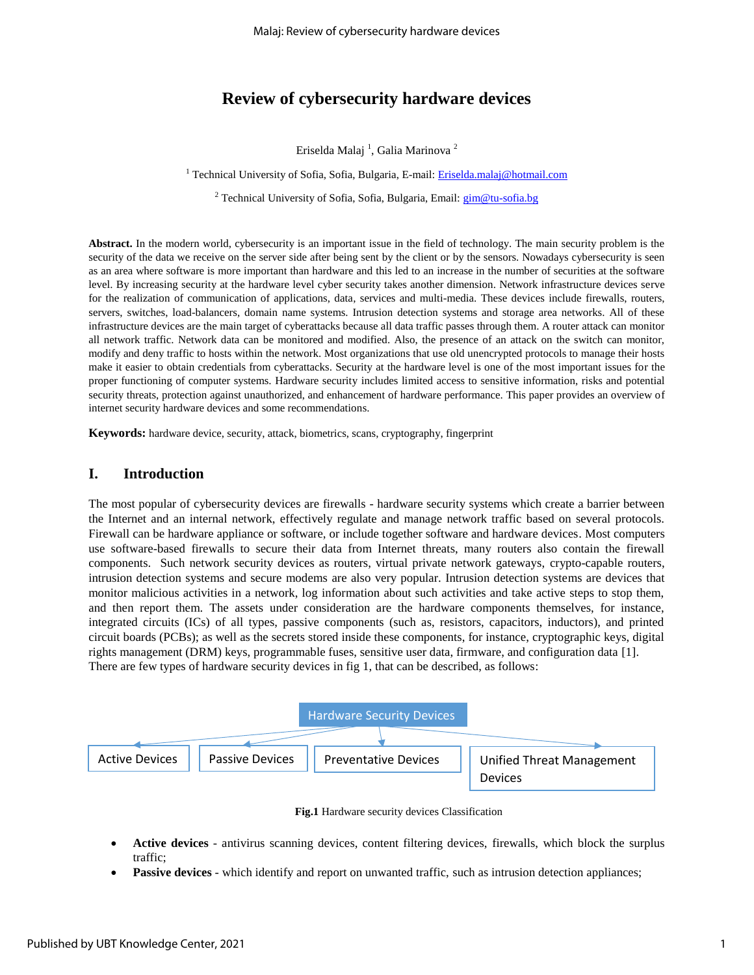# **Review of cybersecurity hardware devices**

Eriselda Malaj  $^{\rm l}$ , Galia Marinova  $^{\rm 2}$ 

<sup>1</sup> Technical University of Sofia, Sofia, Bulgaria, E-mail: *Eriselda.malaj@hotmail.com* 

<sup>2</sup> Technical University of Sofia, Sofia, Bulgaria, Email: **gim@tu-sofia.bg** 

**Abstract.** In the modern world, cybersecurity is an important issue in the field of technology. The main security problem is the security of the data we receive on the server side after being sent by the client or by the sensors. Nowadays cybersecurity is seen as an area where software is more important than hardware and this led to an increase in the number of securities at the software level. By increasing security at the hardware level cyber security takes another dimension. Network infrastructure devices serve for the realization of communication of applications, data, services and multi-media. These devices include firewalls, routers, servers, switches, load-balancers, domain name systems. Intrusion detection systems and storage area networks. All of these infrastructure devices are the main target of cyberattacks because all data traffic passes through them. A router attack can monitor all network traffic. Network data can be monitored and modified. Also, the presence of an attack on the switch can monitor, modify and deny traffic to hosts within the network. Most organizations that use old unencrypted protocols to manage their hosts make it easier to obtain credentials from cyberattacks. Security at the hardware level is one of the most important issues for the proper functioning of computer systems. Hardware security includes limited access to sensitive information, risks and potential security threats, protection against unauthorized, and enhancement of hardware performance. This paper provides an overview of internet security hardware devices and some recommendations.

**Keywords:** hardware device, security, attack, biometrics, scans, cryptography, fingerprint

## **I. Introduction**

The most popular of cybersecurity devices are firewalls - hardware security systems which create a barrier between the Internet and an internal network, effectively regulate and manage network traffic based on several protocols. Firewall can be hardware appliance or software, or include together software and hardware devices. Most computers use software-based firewalls to secure their data from Internet threats, many routers also contain the firewall components. Such network security devices as routers, virtual private network gateways, crypto-capable routers, intrusion detection systems and secure modems are also very popular. Intrusion detection systems are devices that monitor malicious activities in a network, log information about such activities and take active steps to stop them, and then report them. The assets under consideration are the hardware components themselves, for instance, integrated circuits (ICs) of all types, passive components (such as, resistors, capacitors, inductors), and printed circuit boards (PCBs); as well as the secrets stored inside these components, for instance, cryptographic keys, digital rights management (DRM) keys, programmable fuses, sensitive user data, firmware, and configuration data [1]. There are few types of hardware security devices in fig 1, that can be described, as follows:



**Fig.1** Hardware security devices Classification

- **Active devices** antivirus scanning devices, content filtering devices, firewalls, which block the surplus traffic;
- **Passive devices** which identify and report on unwanted traffic, such as intrusion detection appliances;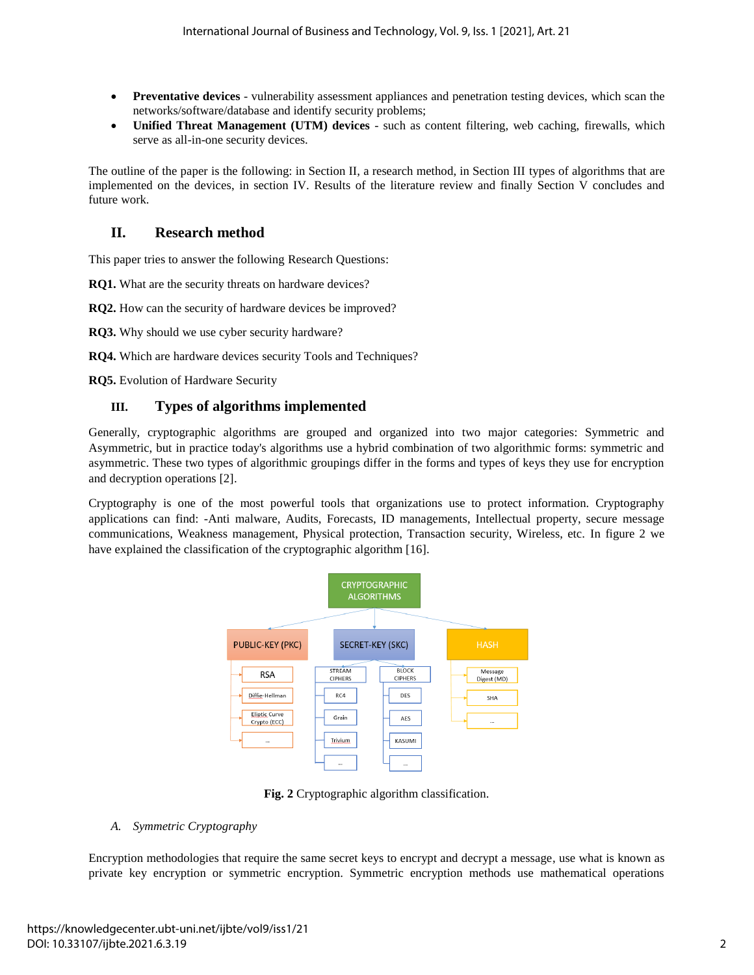- **Preventative devices** vulnerability assessment appliances and penetration testing devices, which scan the networks/software/database and identify security problems;
- **Unified Threat Management (UTM) devices** such as content filtering, web caching, firewalls, which serve as all-in-one security devices.

The outline of the paper is the following: in Section II, a research method, in Section III types of algorithms that are implemented on the devices, in section IV. Results of the literature review and finally Section V concludes and future work.

# **II. Research method**

This paper tries to answer the following Research Questions:

**RQ1.** What are the security threats on hardware devices?

**RQ2.** How can the security of hardware devices be improved?

**RQ3.** Why should we use cyber security hardware?

**RQ4.** Which are hardware devices security Tools and Techniques?

**RQ5.** Evolution of Hardware Security

## **III. Types of algorithms implemented**

Generally, cryptographic algorithms are grouped and organized into two major categories: Symmetric and Asymmetric, but in practice today's algorithms use a hybrid combination of two algorithmic forms: symmetric and asymmetric. These two types of algorithmic groupings differ in the forms and types of keys they use for encryption and decryption operations [2].

Cryptography is one of the most powerful tools that organizations use to protect information. Cryptography applications can find: -Anti malware, Audits, Forecasts, ID managements, Intellectual property, secure message communications, Weakness management, Physical protection, Transaction security, Wireless, etc. In figure 2 we have explained the classification of the cryptographic algorithm [16].



**Fig. 2** Cryptographic algorithm classification.

## *A. Symmetric Cryptography*

Encryption methodologies that require the same secret keys to encrypt and decrypt a message, use what is known as private key encryption or symmetric encryption. Symmetric encryption methods use mathematical operations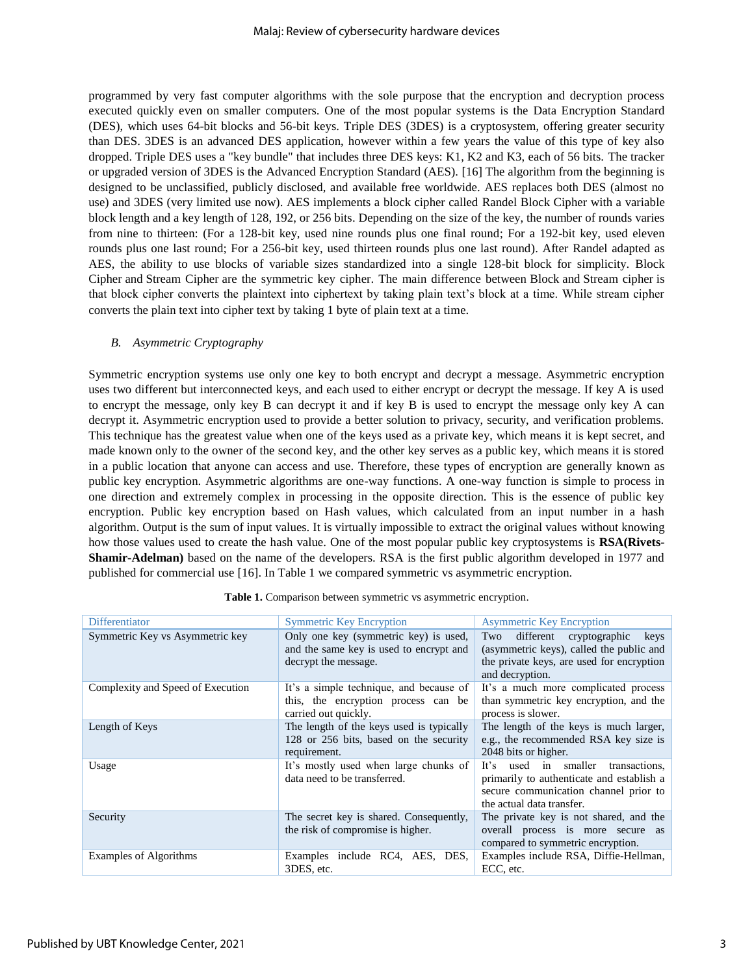programmed by very fast computer algorithms with the sole purpose that the encryption and decryption process executed quickly even on smaller computers. One of the most popular systems is the Data Encryption Standard (DES), which uses 64-bit blocks and 56-bit keys. Triple DES (3DES) is a cryptosystem, offering greater security than DES. 3DES is an advanced DES application, however within a few years the value of this type of key also dropped. Triple DES uses a "key bundle" that includes three DES keys: K1, K2 and K3, each of 56 bits. The tracker or upgraded version of 3DES is the Advanced Encryption Standard (AES). [16] The algorithm from the beginning is designed to be unclassified, publicly disclosed, and available free worldwide. AES replaces both DES (almost no use) and 3DES (very limited use now). AES implements a block cipher called Randel Block Cipher with a variable block length and a key length of 128, 192, or 256 bits. Depending on the size of the key, the number of rounds varies from nine to thirteen: (For a 128-bit key, used nine rounds plus one final round; For a 192-bit key, used eleven rounds plus one last round; For a 256-bit key, used thirteen rounds plus one last round). After Randel adapted as AES, the ability to use blocks of variable sizes standardized into a single 128-bit block for simplicity. Block Cipher and Stream Cipher are the symmetric key cipher. The main difference between Block and Stream cipher is that block cipher converts the plaintext into ciphertext by taking plain text's block at a time. While stream cipher converts the plain text into cipher text by taking 1 byte of plain text at a time.

## *B. Asymmetric Cryptography*

Symmetric encryption systems use only one key to both encrypt and decrypt a message. Asymmetric encryption uses two different but interconnected keys, and each used to either encrypt or decrypt the message. If key A is used to encrypt the message, only key B can decrypt it and if key B is used to encrypt the message only key A can decrypt it. Asymmetric encryption used to provide a better solution to privacy, security, and verification problems. This technique has the greatest value when one of the keys used as a private key, which means it is kept secret, and made known only to the owner of the second key, and the other key serves as a public key, which means it is stored in a public location that anyone can access and use. Therefore, these types of encryption are generally known as public key encryption. Asymmetric algorithms are one-way functions. A one-way function is simple to process in one direction and extremely complex in processing in the opposite direction. This is the essence of public key encryption. Public key encryption based on Hash values, which calculated from an input number in a hash algorithm. Output is the sum of input values. It is virtually impossible to extract the original values without knowing how those values used to create the hash value. One of the most popular public key cryptosystems is **RSA(Rivets-Shamir-Adelman)** based on the name of the developers. RSA is the first public algorithm developed in 1977 and published for commercial use [16]. In Table 1 we compared symmetric vs asymmetric encryption.

| Differentiator                    | <b>Symmetric Key Encryption</b>                                                                          | <b>Asymmetric Key Encryption</b>                                                                                                                         |
|-----------------------------------|----------------------------------------------------------------------------------------------------------|----------------------------------------------------------------------------------------------------------------------------------------------------------|
| Symmetric Key vs Asymmetric key   | Only one key (symmetric key) is used,<br>and the same key is used to encrypt and<br>decrypt the message. | different cryptographic<br>Two<br>keys<br>(asymmetric keys), called the public and<br>the private keys, are used for encryption<br>and decryption.       |
| Complexity and Speed of Execution | It's a simple technique, and because of<br>this, the encryption process can be<br>carried out quickly.   | It's a much more complicated process<br>than symmetric key encryption, and the<br>process is slower.                                                     |
| Length of Keys                    | The length of the keys used is typically<br>128 or 256 bits, based on the security<br>requirement.       | The length of the keys is much larger,<br>e.g., the recommended RSA key size is<br>2048 bits or higher.                                                  |
| Usage                             | It's mostly used when large chunks of<br>data need to be transferred.                                    | used in smaller transactions,<br>It's<br>primarily to authenticate and establish a<br>secure communication channel prior to<br>the actual data transfer. |
| Security                          | The secret key is shared. Consequently,<br>the risk of compromise is higher.                             | The private key is not shared, and the<br>overall process is more secure as<br>compared to symmetric encryption.                                         |
| Examples of Algorithms            | Examples include RC4, AES, DES,<br>3DES, etc.                                                            | Examples include RSA, Diffie-Hellman,<br>ECC, etc.                                                                                                       |

| Table 1. Comparison between symmetric vs asymmetric encryption |
|----------------------------------------------------------------|
|----------------------------------------------------------------|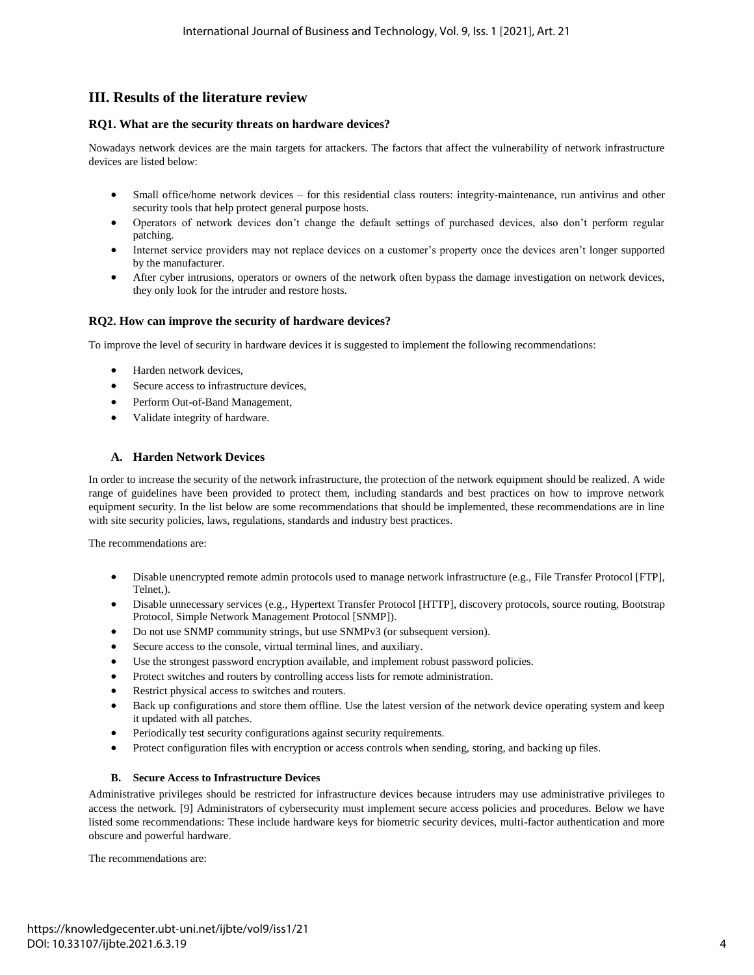# **III. Results of the literature review**

#### **RQ1. What are the security threats on hardware devices?**

Nowadays network devices are the main targets for attackers. The factors that affect the vulnerability of network infrastructure devices are listed below:

- Small office/home network devices for this residential class routers: integrity-maintenance, run antivirus and other security tools that help protect general purpose hosts.
- Operators of network devices don't change the default settings of purchased devices, also don't perform regular patching.
- Internet service providers may not replace devices on a customer's property once the devices aren't longer supported by the manufacturer.
- After cyber intrusions, operators or owners of the network often bypass the damage investigation on network devices, they only look for the intruder and restore hosts.

### **RQ2. How can improve the security of hardware devices?**

To improve the level of security in hardware devices it is suggested to implement the following recommendations:

- Harden network devices,
- Secure access to infrastructure devices,
- Perform Out-of-Band Management,
- Validate integrity of hardware.

### **A. Harden Network Devices**

In order to increase the security of the network infrastructure, the protection of the network equipment should be realized. A wide range of guidelines have been provided to protect them, including standards and best practices on how to improve network equipment security. In the list below are some recommendations that should be implemented, these recommendations are in line with site security policies, laws, regulations, standards and industry best practices.

The recommendations are:

- Disable unencrypted remote admin protocols used to manage network infrastructure (e.g., File Transfer Protocol [FTP], Telnet,).
- Disable unnecessary services (e.g., Hypertext Transfer Protocol [HTTP], discovery protocols, source routing, Bootstrap Protocol, Simple Network Management Protocol [SNMP]).
- Do not use [SNMP community strings,](https://us-cert.cisa.gov/ncas/alerts/TA17-156A) but use SNMPv3 (or subsequent version).
- Secure access to the console, virtual terminal lines, and auxiliary.
- Use the strongest password encryption available, and implement robust password policies.
- Protect switches and routers by controlling access lists for remote administration.
- Restrict physical access to switches and routers.
- Back up configurations and store them offline. Use the latest version of the network device operating system and keep it updated with all patches.
- Periodically test security configurations against security requirements.
- Protect configuration files with encryption or access controls when sending, storing, and backing up files.

#### **B. Secure Access to Infrastructure Devices**

Administrative privileges should be restricted for infrastructure devices because intruders may use administrative privileges to access the network. [9] Administrators of cybersecurity must implement secure access policies and procedures. Below we have listed some recommendations: These include hardware keys for biometric security devices, multi-factor authentication and more obscure and powerful hardware.

The recommendations are: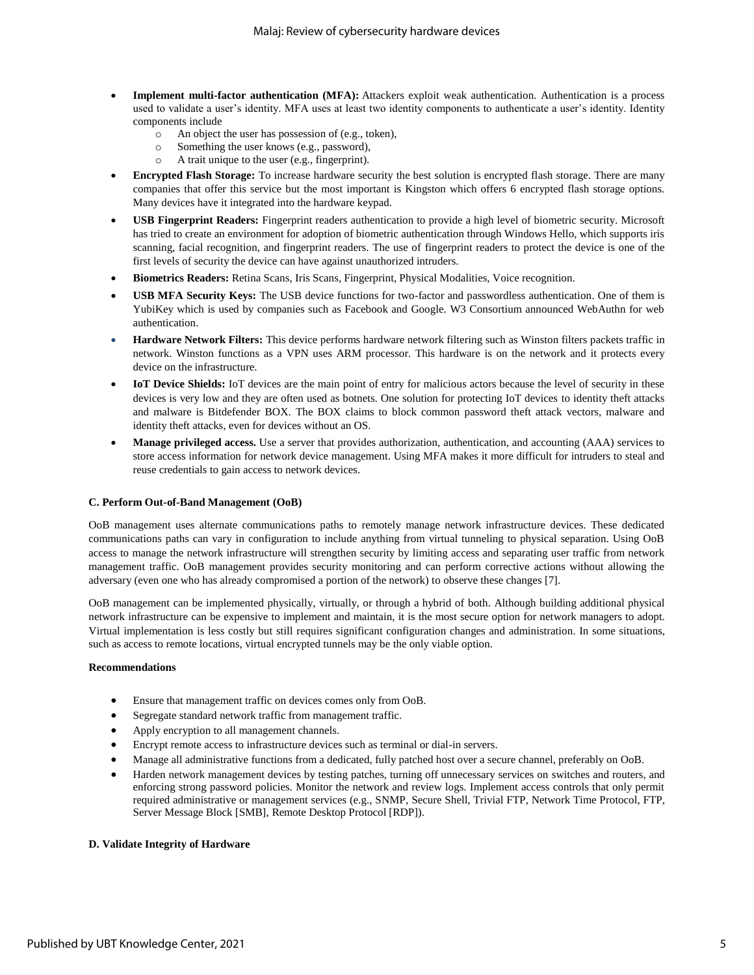- **Implement multi-factor authentication (MFA):** Attackers exploit weak authentication. Authentication is a process used to validate a user's identity. MFA uses at least two identity components to authenticate a user's identity. Identity components include
	- o An object the user has possession of (e.g., token),
	- o Something the user knows (e.g., password),
	- o A trait unique to the user (e.g., fingerprint).
- **Encrypted Flash Storage:** To increase hardware security the best solution is encrypted flash storage. There are many companies that offer this service but the most important is Kingston which offers 6 encrypted flash storage options. Many devices have it integrated into the hardware keypad.
- **USB Fingerprint Readers:** Fingerprint readers authentication to provide a high level of biometric security. Microsoft has tried to create an environment for adoption of biometric authentication through Windows Hello, which supports iris scanning, facial recognition, and fingerprint readers. The use of fingerprint readers to protect the device is one of the first levels of security the device can have against unauthorized intruders.
- **Biometrics Readers:** Retina Scans, Iris Scans, Fingerprint, Physical Modalities, Voice recognition.
- **USB MFA Security Keys:** The USB device functions for two-factor and passwordless authentication. One of them is YubiKey which is used by companies such as Facebook and Google. W3 Consortium announced WebAuthn for web authentication.
- **Hardware Network Filters:** This device performs hardware network filtering such as Winston filters packets traffic in network. Winston functions as a VPN uses ARM processor. This hardware is on the network and it protects every device on the infrastructure.
- **IoT Device Shields:** IoT devices are the main point of entry for malicious actors because the level of security in these devices is very low and they are often used as botnets. One solution for protecting IoT devices to identity theft attacks and malware is Bitdefender BOX. The BOX claims to block common password theft attack vectors, malware and identity theft attacks, even for devices without an OS.
- **Manage privileged access.** Use a server that provides authorization, authentication, and accounting (AAA) services to store access information for network device management. Using MFA makes it more difficult for intruders to steal and reuse credentials to gain access to network devices.

#### **C. Perform Out-of-Band Management (OoB)**

OoB management uses alternate communications paths to remotely manage network infrastructure devices. These dedicated communications paths can vary in configuration to include anything from virtual tunneling to physical separation. Using OoB access to manage the network infrastructure will strengthen security by limiting access and separating user traffic from network management traffic. OoB management provides security monitoring and can perform corrective actions without allowing the adversary (even one who has already compromised a portion of the network) to observe these changes [7].

OoB management can be implemented physically, virtually, or through a hybrid of both. Although building additional physical network infrastructure can be expensive to implement and maintain, it is the most secure option for network managers to adopt. Virtual implementation is less costly but still requires significant configuration changes and administration. In some situations, such as access to remote locations, virtual encrypted tunnels may be the only viable option.

#### **Recommendations**

- Ensure that management traffic on devices comes only from OoB.
- Segregate standard network traffic from management traffic.
- Apply encryption to all management channels.
- Encrypt remote access to infrastructure devices such as terminal or dial-in servers.
- Manage all administrative functions from a dedicated, fully patched host over a secure channel, preferably on OoB.
- Harden network management devices by testing patches, turning off unnecessary services on switches and routers, and enforcing strong password policies. Monitor the network and review logs. Implement access controls that only permit required administrative or management services (e.g., SNMP, Secure Shell, Trivial FTP, Network Time Protocol, FTP, Server Message Block [SMB], Remote Desktop Protocol [RDP]).

#### **D. Validate Integrity of Hardware**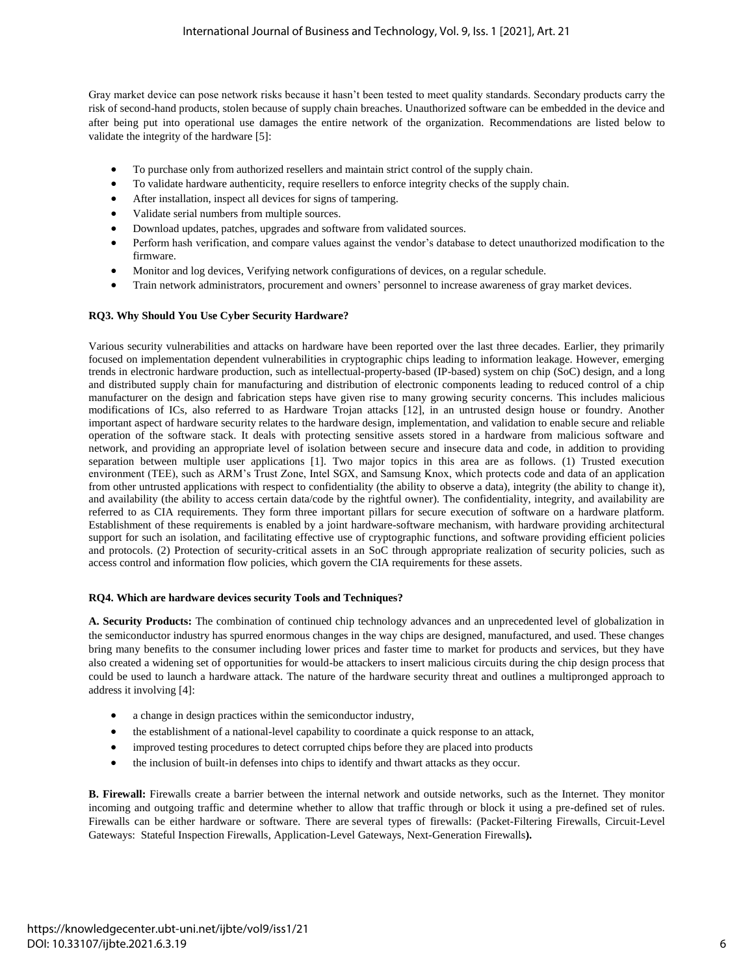Gray market device can pose network risks because it hasn't been tested to meet quality standards. Secondary products carry the risk of second-hand products, stolen because of supply chain breaches. Unauthorized software can be embedded in the device and after being put into operational use damages the entire network of the organization. Recommendations are listed below to validate the integrity of the hardware [5]:

- To purchase only from authorized resellers and maintain strict control of the supply chain.
- To validate hardware authenticity, require resellers to enforce integrity checks of the supply chain.
- After installation, inspect all devices for signs of tampering.
- Validate serial numbers from multiple sources.
- Download updates, patches, upgrades and software from validated sources.
- Perform hash verification, and compare values against the vendor's database to detect unauthorized modification to the firmware.
- Monitor and log devices, Verifying network configurations of devices, on a regular schedule.
- Train network administrators, procurement and owners' personnel to increase awareness of gray market devices.

#### **RQ3. Why Should You Use Cyber Security Hardware?**

Various security vulnerabilities and attacks on hardware have been reported over the last three decades. Earlier, they primarily focused on implementation dependent vulnerabilities in cryptographic chips leading to information leakage. However, emerging trends in electronic hardware production, such as intellectual-property-based (IP-based) system on chip (SoC) design, and a long and distributed supply chain for manufacturing and distribution of electronic components leading to reduced control of a chip manufacturer on the design and fabrication steps have given rise to many growing security concerns. This includes malicious modifications of ICs, also referred to as Hardware Trojan attacks [12], in an untrusted design house or foundry. Another important aspect of hardware security relates to the hardware design, implementation, and validation to enable secure and reliable operation of the software stack. It deals with protecting sensitive assets stored in a hardware from malicious software and network, and providing an appropriate level of isolation between secure and insecure data and code, in addition to providing separation between multiple user applications [1]. Two major topics in this area are as follows. (1) Trusted execution environment (TEE), such as ARM's Trust Zone, Intel SGX, and Samsung Knox, which protects code and data of an application from other untrusted applications with respect to confidentiality (the ability to observe a data), integrity (the ability to change it), and availability (the ability to access certain data/code by the rightful owner). The confidentiality, integrity, and availability are referred to as CIA requirements. They form three important pillars for secure execution of software on a hardware platform. Establishment of these requirements is enabled by a joint hardware-software mechanism, with hardware providing architectural support for such an isolation, and facilitating effective use of cryptographic functions, and software providing efficient policies and protocols. (2) Protection of security-critical assets in an SoC through appropriate realization of security policies, such as access control and information flow policies, which govern the CIA requirements for these assets.

#### **RQ4. Which are hardware devices security Tools and Techniques?**

**A. Security Products:** The combination of continued chip technology advances and an unprecedented level of globalization in the semiconductor industry has spurred enormous changes in the way chips are designed, manufactured, and used. These changes bring many benefits to the consumer including lower prices and faster time to market for products and services, but they have also created a widening set of opportunities for would-be attackers to insert malicious circuits during the chip design process that could be used to launch a hardware attack. The nature of the hardware security threat and outlines a multipronged approach to address it involving [4]:

- a change in design practices within the semiconductor industry,
- the establishment of a national-level capability to coordinate a quick response to an attack,
- improved testing procedures to detect corrupted chips before they are placed into products
- the inclusion of built-in defenses into chips to identify and thwart attacks as they occur.

**B. Firewall:** Firewalls create a barrier between the internal network and outside networks, such as the Internet. They monitor incoming and outgoing traffic and determine whether to allow that traffic through or block it using a pre-defined set of rules. Firewalls can be either hardware or software. There are [several types of firewalls:](https://searchsecurity.techtarget.com/feature/The-five-different-types-of-firewalls) (Packet-Filtering Firewalls, Circuit-Level Gateways: Stateful Inspection Firewalls, Application-Level Gateways, Next-Generation Firewalls**).**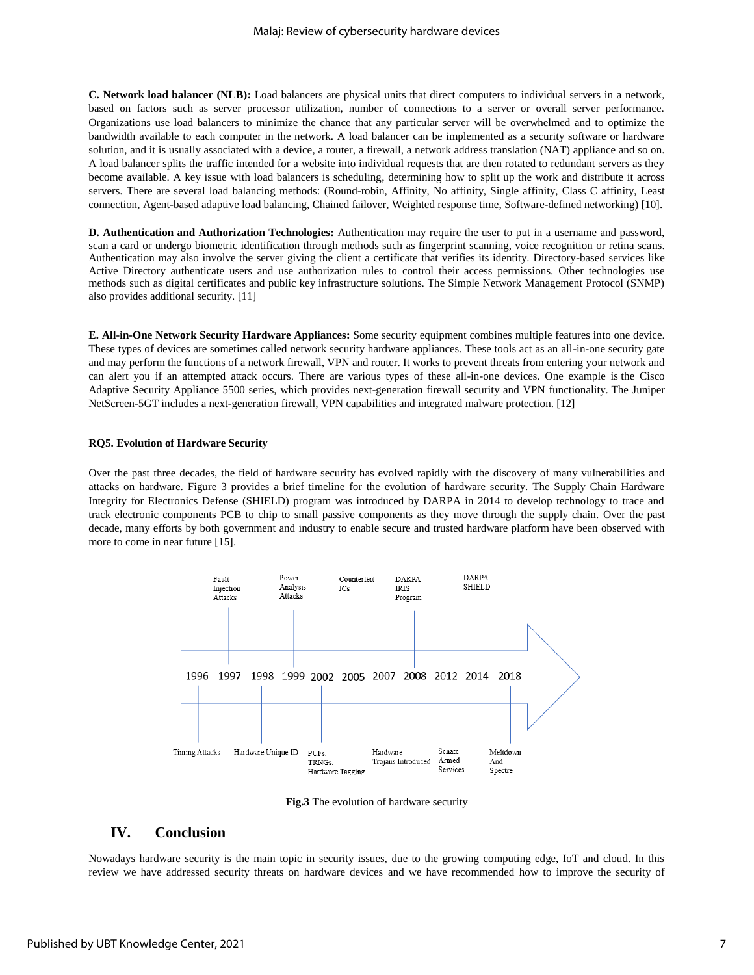**C. Network load balancer (NLB):** Load balancers are physical units that direct computers to individual servers in a network, based on factors such as server processor utilization, number of connections to a server or overall server performance. Organizations use load balancers to minimize the chance that any particular server will be overwhelmed and to optimize the bandwidth available to each computer in the network. A load balancer can be implemented as a security software or hardware solution, and it is usually associated with a device, a router, a firewall, a network address translation (NAT) appliance and so on. A load balancer splits the traffic intended for a website into individual requests that are then rotated to redundant servers as they become available. A key issue with load balancers is scheduling, determining how to split up the work and distribute it across servers. There are several load balancing methods: (Round-robin, Affinity, No affinity, Single affinity, Class C affinity, Least connection, Agent-based adaptive load balancing, Chained failover, Weighted response time, Software-defined networking) [10].

**D. Authentication and Authorization Technologies:** Authentication may require the user to put in a username and password, scan a card or undergo biometric identification through methods such as fingerprint scanning, voice recognition or retina scans. Authentication may also involve the server giving the client a certificate that verifies its identity. Directory-based services like Active Directory authenticate users and use authorization rules to control their access permissions. Other technologies use methods such as digital certificates and public key infrastructure solutions. The Simple Network Management Protocol (SNMP) also provides additional security. [11]

**E. All-in-One Network Security Hardware Appliances:** Some security equipment combines multiple features into one device. These types of devices are sometimes called network security hardware appliances. These tools act as an all-in-one security gate and may perform the functions of a network firewall, VPN and router. It works to prevent threats from entering your network and can alert you if an attempted attack occurs. There are various types of these all-in-one devices. One example is [the Cisco](https://worldwidesupply.net/product/cisco-adaptive-security-appliance-5500/)  [Adaptive Security Appliance 5500 series,](https://worldwidesupply.net/product/cisco-adaptive-security-appliance-5500/) which provides next-generation firewall security and VPN functionality[. The Juniper](https://worldwidesupply.net/product/juniper-netscreen-5gt/)  [NetScreen-5GT](https://worldwidesupply.net/product/juniper-netscreen-5gt/) includes a next-generation firewall, VPN capabilities and integrated malware protection. [12]

#### **RQ5. Evolution of Hardware Security**

Over the past three decades, the field of hardware security has evolved rapidly with the discovery of many vulnerabilities and attacks on hardware. Figure 3 provides a brief timeline for the evolution of hardware security. The Supply Chain Hardware Integrity for Electronics Defense (SHIELD) program was introduced by DARPA in 2014 to develop technology to trace and track electronic components PCB to chip to small passive components as they move through the supply chain. Over the past decade, many efforts by both government and industry to enable secure and trusted hardware platform have been observed with more to come in near future [15].



**Fig.3** The evolution of hardware security

## **IV. Conclusion**

Nowadays hardware security is the main topic in security issues, due to the growing computing edge, IoT and cloud. In this review we have addressed security threats on hardware devices and we have recommended how to improve the security of